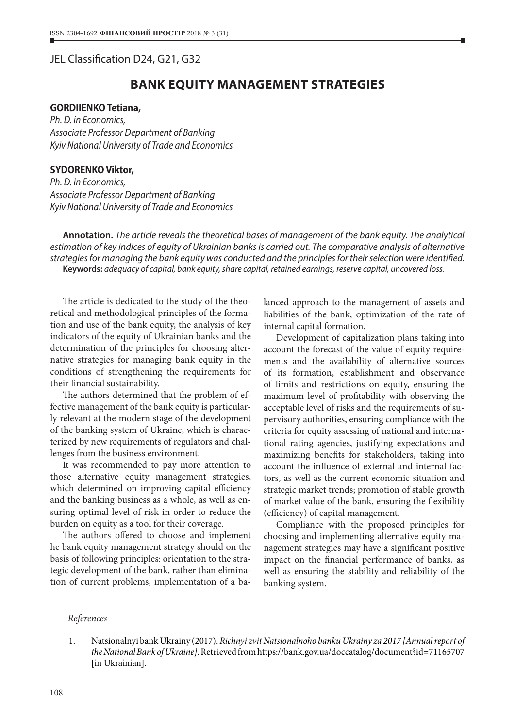## JEL Classification D24, G21, G32

# **BANK EQUITY MANAGEMENT STRATEGIES**

#### **GORDIIENKO Tetiana,**

*Ph. D. in Economics, Associate Professor Department of Banking Kyiv National University of Trade and Economics*

### **SYDORENKO Viktor,**

*Ph. D. in Economics, Associate Professor Department of Banking Kyiv National University of Trade and Economics*

**Annotation.** *The article reveals the theoretical bases of management of the bank equity. The analytical estimation of key indices of equity of Ukrainian banks is carried out. The comparative analysis of alternative strategies for managing the bank equity was conducted and the principles for their selection were identified.* **Keywords:** *adequacy of capital, bank equity, share capital, retained earnings, reserve capital, uncovered loss.*

The article is dedicated to the study of the theoretical and methodological principles of the formation and use of the bank equity, the analysis of key indicators of the equity of Ukrainian banks and the determination of the principles for choosing alternative strategies for managing bank equity in the conditions of strengthening the requirements for their financial sustainability.

The authors determined that the problem of effective management of the bank equity is particularly relevant at the modern stage of the development of the banking system of Ukraine, which is characterized by new requirements of regulators and challenges from the business environment.

It was recommended to pay more attention to those alternative equity management strategies, which determined on improving capital efficiency and the banking business as a whole, as well as ensuring optimal level of risk in order to reduce the burden on equity as a tool for their coverage.

The authors offered to choose and implement he bank equity management strategy should on the basis of following principles: orientation to the strategic development of the bank, rather than elimination of current problems, implementation of a balanced approach to the management of assets and liabilities of the bank, optimization of the rate of internal capital formation.

Development of capitalization plans taking into account the forecast of the value of equity requirements and the availability of alternative sources of its formation, establishment and observance of limits and restrictions on equity, ensuring the maximum level of profitability with observing the acceptable level of risks and the requirements of supervisory authorities, ensuring compliance with the criteria for equity assessing of national and international rating agencies, justifying expectations and maximizing benefits for stakeholders, taking into account the influence of external and internal factors, as well as the current economic situation and strategic market trends; promotion of stable growth of market value of the bank, ensuring the flexibility (efficiency) of capital management.

Compliance with the proposed principles for choosing and implementing alternative equity management strategies may have a significant positive impact on the financial performance of banks, as well as ensuring the stability and reliability of the banking system.

#### *References*

1. Natsionalnyi bank Ukrainy (2017). *Richnyi zvit Natsionalnoho banku Ukrainy za 2017 [Annual report of the National Bank of Ukraine]*. Retrieved from https://bank.gov.ua/doccatalog/document?id=71165707 [in Ukrainian].